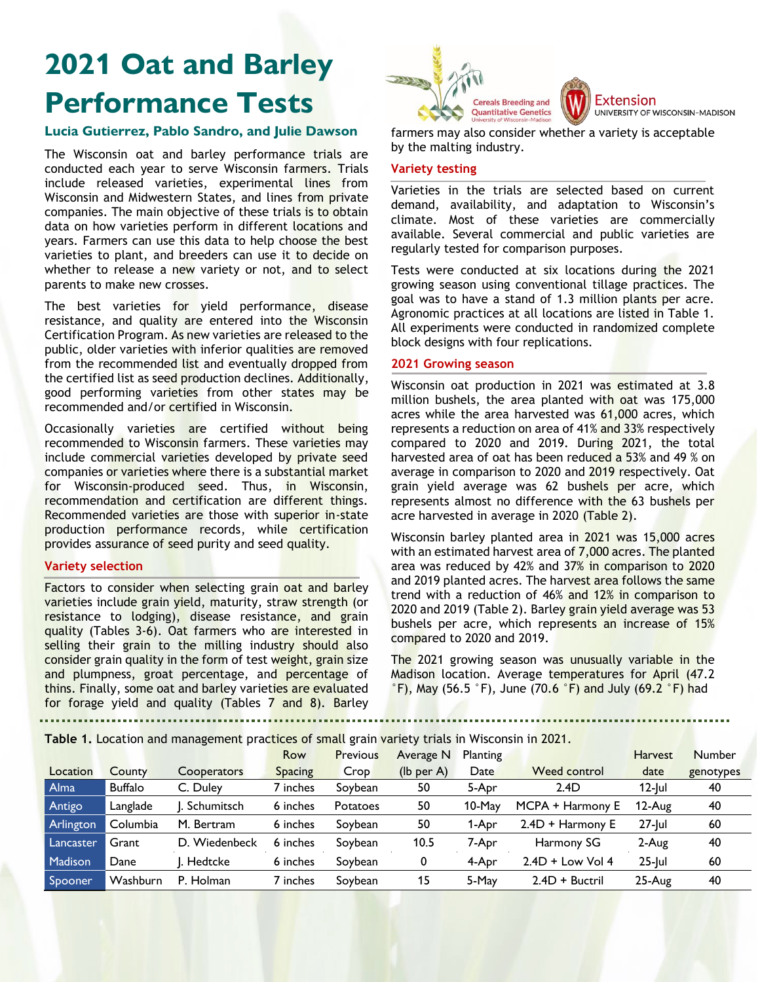# **2021 Oat and Barley Performance Tests**

# **Lucia Gutierrez, Pablo Sandro, and Julie Dawson**

The Wisconsin oat and barley performance trials are conducted each year to serve Wisconsin farmers. Trials include released varieties, experimental lines from Wisconsin and Midwestern States, and lines from private companies. The main objective of these trials is to obtain data on how varieties perform in different locations and years. Farmers can use this data to help choose the best varieties to plant, and breeders can use it to decide on whether to release a new variety or not, and to select parents to make new crosses.

The best varieties for yield performance, disease resistance, and quality are entered into the Wisconsin Certification Program. As new varieties are released to the public, older varieties with inferior qualities are removed from the recommended list and eventually dropped from the certified list as seed production declines. Additionally, good performing varieties from other states may be recommended and/or certified in Wisconsin.

Occasionally varieties are certified without being recommended to Wisconsin farmers. These varieties may include commercial varieties developed by private seed companies or varieties where there is a substantial market for Wisconsin-produced seed. Thus, in Wisconsin, recommendation and certification are different things. Recommended varieties are those with superior in-state production performance records, while certification provides assurance of seed purity and seed quality.

### **Variety selection**

Factors to consider when selecting grain oat and barley varieties include grain yield, maturity, straw strength (or resistance to lodging), disease resistance, and grain quality (Tables 3-6). Oat farmers who are interested in selling their grain to the milling industry should also consider grain quality in the form of test weight, grain size and plumpness, groat percentage, and percentage of thins. Finally, some oat and barley varieties are evaluated for forage yield and quality (Tables 7 and 8). Barley



**Extension** UNIVERSITY OF WISCONSIN-MADISON

farmers may also consider whether a variety is acceptable by the malting industry.

# **Variety testing**

Varieties in the trials are selected based on current demand, availability, and adaptation to Wisconsin's climate. Most of these varieties are commercially available. Several commercial and public varieties are regularly tested for comparison purposes.

Tests were conducted at six locations during the 2021 growing season using conventional tillage practices. The goal was to have a stand of 1.3 million plants per acre. Agronomic practices at all locations are listed in Table 1. All experiments were conducted in randomized complete block designs with four replications.

# **2021 Growing season**

Wisconsin oat production in 2021 was estimated at 3.8 million bushels, the area planted with oat was 175,000 acres while the area harvested was 61,000 acres, which represents a reduction on area of 41% and 33% respectively compared to 2020 and 2019. During 2021, the total harvested area of oat has been reduced a 53% and 49 % on average in comparison to 2020 and 2019 respectively. Oat grain yield average was 62 bushels per acre, which represents almost no difference with the 63 bushels per acre harvested in average in 2020 (Table 2).

Wisconsin barley planted area in 2021 was 15,000 acres with an estimated harvest area of 7,000 acres. The planted area was reduced by 42% and 37% in comparison to 2020 and 2019 planted acres. The harvest area follows the same trend with a reduction of 46% and 12% in comparison to 2020 and 2019 (Table 2). Barley grain yield average was 53 bushels per acre, which represents an increase of 15% compared to 2020 and 2019.

The 2021 growing season was unusually variable in the Madison location. Average temperatures for April (47.2  $\degree$ F), May (56.5  $\degree$ F), June (70.6  $\degree$ F) and July (69.2  $\degree$ F) had

**Table 1.** Location and management practices of small grain variety trials in Wisconsin in 2021.

|                | <b>Table 1.</b> Location and management practices or small grain variety thats in Wisconsin in Z021. |               |          |                 |              |                 |                    |                |               |  |  |  |  |
|----------------|------------------------------------------------------------------------------------------------------|---------------|----------|-----------------|--------------|-----------------|--------------------|----------------|---------------|--|--|--|--|
|                |                                                                                                      |               | Row      | <b>Previous</b> | Average N    | <b>Planting</b> |                    | <b>Harvest</b> | <b>Number</b> |  |  |  |  |
| Location       | County                                                                                               | Cooperators   | Spacing  | Crop            | $(lb$ per A) | Date            | Weed control       | date           | genotypes     |  |  |  |  |
| <b>Alma</b>    | <b>Buffalo</b>                                                                                       | C. Duley      | ' inches | Soybean         | 50           | 5-Apr           | 2.4D               | $12$ -lul      | 40            |  |  |  |  |
| Antigo         | Langlade                                                                                             | Schumitsch    | 6 inches | Potatoes        | 50           | $10$ -May       | MCPA + Harmony E   | $12$ -Aug      | 40            |  |  |  |  |
| Arlington      | Columbia                                                                                             | M. Bertram    | 6 inches | Soybean         | 50           | 1-Apr           | 2.4D + Harmony E   | $27$ -lul      | 60            |  |  |  |  |
| Lancaster      | Grant                                                                                                | D. Wiedenbeck | 6 inches | Soybean         | 10.5         | 7-Apr           | Harmony SG         | 2-Aug          | 40            |  |  |  |  |
| <b>Madison</b> | Dane                                                                                                 | I. Hedtcke    | 6 inches | Soybean         | 0            | 4-Apr           | $2.4D + Low Vol 4$ | $25$ -Jul      | 60            |  |  |  |  |
| Spooner/       | Washburn                                                                                             | P. Holman     | ' inches | Soybean         | 15           | 5-May           | $2.4D + Buctri$    | 25-Aug         | 40            |  |  |  |  |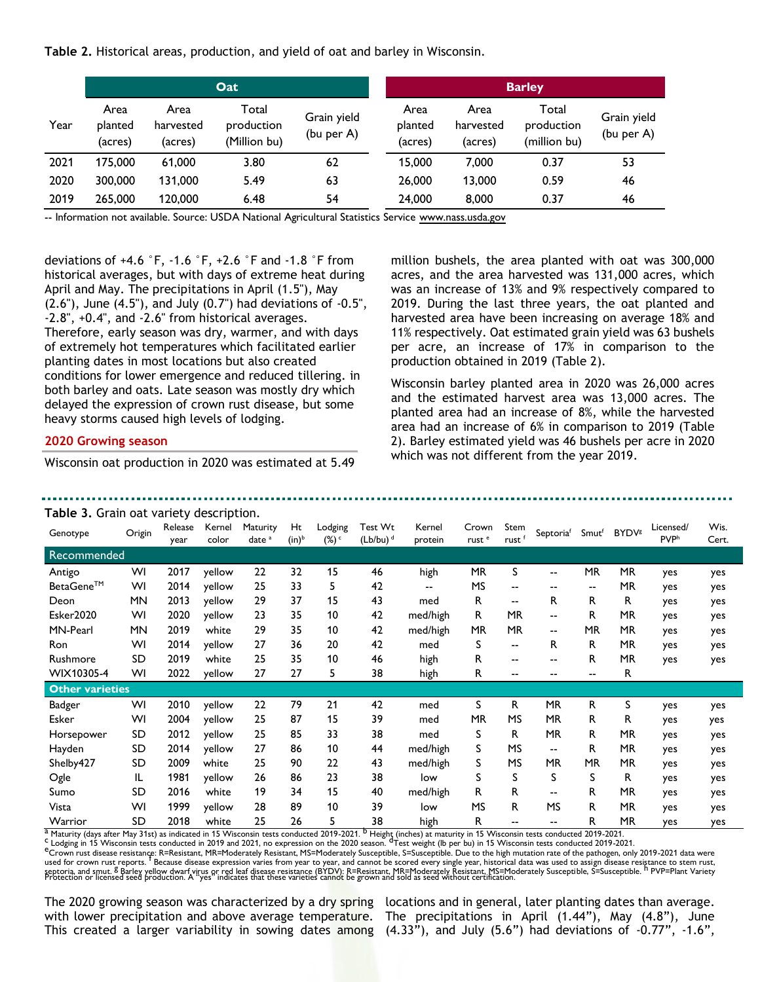**Table 2.** Historical areas, production, and yield of oat and barley in Wisconsin.

|      |                            |                              | Oat                                 |                           | <b>Barley</b> |                            |                              |                                     |                           |  |  |  |
|------|----------------------------|------------------------------|-------------------------------------|---------------------------|---------------|----------------------------|------------------------------|-------------------------------------|---------------------------|--|--|--|
| Year | Area<br>planted<br>(acres) | Area<br>harvested<br>(acres) | Total<br>production<br>(Million bu) | Grain yield<br>(bu per A) |               | Area<br>planted<br>(acres) | Area<br>harvested<br>(acres) | Total<br>production<br>(million bu) | Grain yield<br>(bu per A) |  |  |  |
| 2021 | 175,000                    | 61,000                       | 3.80                                | 62                        |               | 15,000                     | 7.000                        | 0.37                                | 53                        |  |  |  |
| 2020 | 300,000                    | 131,000                      | 5.49                                | 63                        |               | 26,000                     | 13,000                       | 0.59                                | 46                        |  |  |  |
| 2019 | 265,000                    | 120,000                      | 6.48                                | 54                        |               | 24,000                     | 8,000                        | 0.37                                | 46                        |  |  |  |

-- Information not available. Source: USDA National Agricultural Statistics Service www.nass.usda.gov

deviations of +4.6 °F, -1.6 °F, +2.6 °F and -1.8 °F from historical averages, but with days of extreme heat during April and May. The precipitations in April (1.5"), May (2.6"), June (4.5"), and July (0.7") had deviations of -0.5", -2.8", +0.4", and -2.6" from historical averages. Therefore, early season was dry, warmer, and with days of extremely hot temperatures which facilitated earlier planting dates in most locations but also created conditions for lower emergence and reduced tillering. in both barley and oats. Late season was mostly dry which delayed the expression of crown rust disease, but some heavy storms caused high levels of lodging.

### **2020 Growing season**

Wisconsin oat production in 2020 was estimated at 5.49

million bushels, the area planted with oat was 300,000 acres, and the area harvested was 131,000 acres, which was an increase of 13% and 9% respectively compared to 2019. During the last three years, the oat planted and harvested area have been increasing on average 18% and 11% respectively. Oat estimated grain yield was 63 bushels per acre, an increase of 17% in comparison to the production obtained in 2019 (Table 2).

Wisconsin barley planted area in 2020 was 26,000 acres and the estimated harvest area was 13,000 acres. The planted area had an increase of 8%, while the harvested area had an increase of 6% in comparison to 2019 (Table 2). Barley estimated yield was 46 bushels per acre in 2020 which was not different from the year 2019.

...............................

| <b>Table 3.</b> Grain oat variety description.<br>Wis.<br>Test Wt<br>Kernel<br>Ht<br>Kernel<br>Licensed/<br>Release |           |      |        |                      |                   |                   |                        |          |                            |                           |                          |                   |                          |                  |       |
|---------------------------------------------------------------------------------------------------------------------|-----------|------|--------|----------------------|-------------------|-------------------|------------------------|----------|----------------------------|---------------------------|--------------------------|-------------------|--------------------------|------------------|-------|
| Genotype                                                                                                            | Origin    | year | color  | Maturity<br>$date^a$ | (in) <sup>b</sup> | Lodging<br>$(\%)$ | $(Lb/bu)$ <sup>d</sup> | protein  | Crown<br>rust <sup>e</sup> | Stem<br>rust <sup>f</sup> | Septoriaf                | Smut <sup>f</sup> | <b>BYDV</b> <sup>g</sup> | PVP <sup>h</sup> | Cert. |
| Recommended                                                                                                         |           |      |        |                      |                   |                   |                        |          |                            |                           |                          |                   |                          |                  |       |
| Antigo                                                                                                              | WI        | 2017 | yellow | 22                   | 32                | 15                | 46                     | high     | <b>MR</b>                  | S                         | $\sim$ $\sim$            | MR                | <b>MR</b>                | yes              | yes   |
| BetaGene™                                                                                                           | WI        | 2014 | yellow | 25                   | 33                | 5                 | 42                     | --       | <b>MS</b>                  | $-$                       | $- -$                    | $- -$             | <b>MR</b>                | yes              | yes   |
| Deon                                                                                                                | <b>MN</b> | 2013 | yellow | 29                   | 37                | 15                | 43                     | med      | R.                         | $\sim$ $\sim$             | R                        | R                 | R                        | yes              | yes   |
| Esker2020                                                                                                           | WI        | 2020 | yellow | 23                   | 35                | 10                | 42                     | med/high | R.                         | <b>MR</b>                 | $- -$                    | R.                | <b>MR</b>                | yes              | yes   |
| MN-Pearl                                                                                                            | <b>MN</b> | 2019 | white  | 29                   | 35                | 10                | 42                     | med/high | MR                         | MR                        | $\overline{\phantom{a}}$ | <b>MR</b>         | <b>MR</b>                | yes              | yes   |
| Ron                                                                                                                 | WI        | 2014 | yellow | 27                   | 36                | 20                | 42                     | med      | S                          | $-$                       | R                        | R                 | MR                       | yes              | yes   |
| Rushmore                                                                                                            | SD        | 2019 | white  | 25                   | 35                | 10                | 46                     | high     | R.                         | --                        |                          | R                 | <b>MR</b>                | yes              | yes   |
| WIX10305-4                                                                                                          | WI        | 2022 | yellow | 27                   | 27                | 5                 | 38                     | high     | R                          | --                        | $- -$                    | $- -$             | R                        |                  |       |
| <b>Other varieties</b>                                                                                              |           |      |        |                      |                   |                   |                        |          |                            |                           |                          |                   |                          |                  |       |
| Badger                                                                                                              | WI        | 2010 | yellow | 22                   | 79                | 21                | 42                     | med      | S                          | R                         | <b>MR</b>                | R.                | S                        | yes              | yes   |
| Esker                                                                                                               | WI        | 2004 | yellow | 25                   | 87                | 15                | 39                     | med      | <b>MR</b>                  | <b>MS</b>                 | <b>MR</b>                | R.                | R                        | yes              | yes   |
| Horsepower                                                                                                          | SD        | 2012 | yellow | 25                   | 85                | 33                | 38                     | med      | S                          | R                         | <b>MR</b>                | R                 | <b>MR</b>                | yes              | yes   |
| Hayden                                                                                                              | SD        | 2014 | yellow | 27                   | 86                | 10                | 44                     | med/high | S                          | <b>MS</b>                 | $- -$                    | R                 | <b>MR</b>                | yes              | yes   |
| Shelby427                                                                                                           | SD        | 2009 | white  | 25                   | 90                | 22                | 43                     | med/high | S                          | <b>MS</b>                 | <b>MR</b>                | <b>MR</b>         | <b>MR</b>                | yes              | yes   |
| Ogle                                                                                                                | IL        | 1981 | yellow | 26                   | 86                | 23                | 38                     | low      | S                          | S                         | S                        | S                 | R                        | yes              | yes   |
| Sumo                                                                                                                | SD        | 2016 | white  | 19                   | 34                | 15                | 40                     | med/high | R.                         | R                         | $- -$                    | R                 | <b>MR</b>                | yes              | yes   |
| Vista                                                                                                               | WI        | 1999 | yellow | 28                   | 89                | 10                | 39                     | low      | <b>MS</b>                  | R                         | <b>MS</b>                | R                 | <b>MR</b>                | yes              | yes   |
| Warrior                                                                                                             | SD        | 2018 | white  | 25                   | 26                | 5                 | 38                     | high     | R                          | --                        | $- -$                    | R                 | <b>MR</b>                | yes              | yes   |

<sup>a</sup> Maturity (days after May 31st) as indicated in 15 Wisconsin tests conducted 2019-2021. <sup>b</sup> Height (inches) at maturity in 15 Wisconsin tests conducted 2019-2021.<br><sup>C</sup> Lodging in 15 Wisconsin tests conducted in 2019 and

e Cooking in 13 years resistance: R=Resistant, MR=Moderately Resistant, MS=Moderately Susceptible, S=Susceptible, Due to the high mutation rate of the pathogen, only 2019-2021 data were<br>used for crown rust reports. <sup>1</sup> Bec septoria, and smut. <sup>8</sup> Barley vellow dwarf virus or red leaf disease resistance (BYDV): R=Resistant, MR=Moderately Resistant, MS=Moderately Susceptible, S=Susceptible, S=Susceptible, PPVP=Plant Variety

The 2020 growing season was characterized by a dry spring locations and in general, later planting dates than average. with lower precipitation and above average temperature. This created a larger variability in sowing dates among

The precipitations in April (1.44"), May (4.8"), June (4.33"), and July (5.6") had deviations of -0.77", -1.6",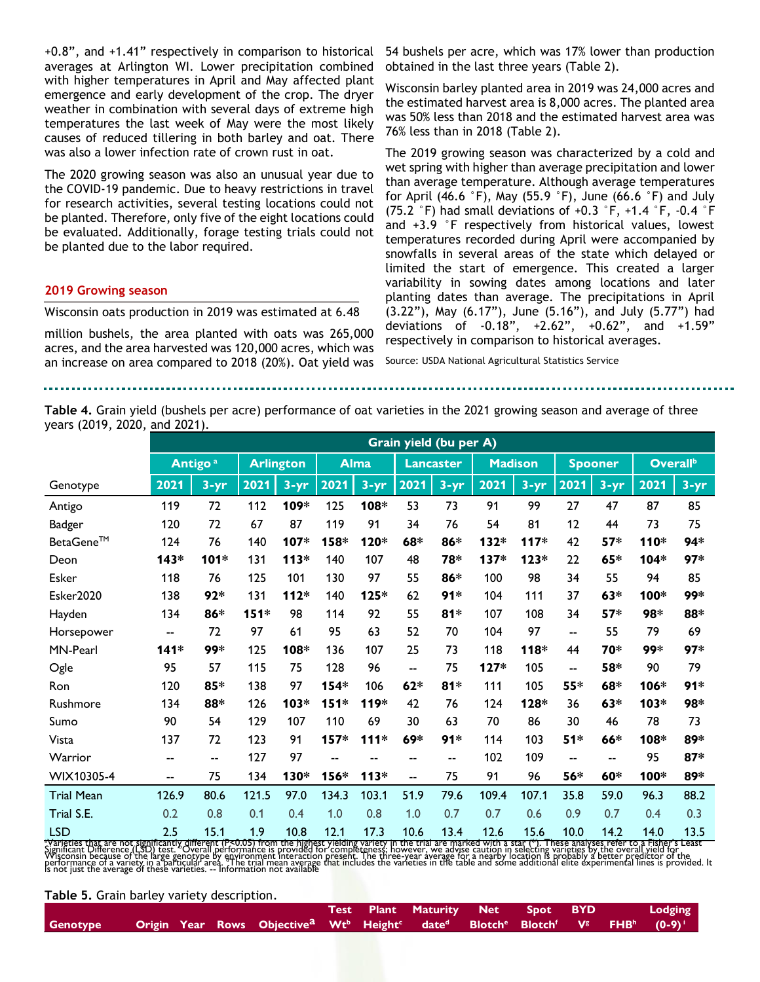+0.8", and +1.41" respectively in comparison to historical averages at Arlington WI. Lower precipitation combined with higher temperatures in April and May affected plant emergence and early development of the crop. The dryer weather in combination with several days of extreme high temperatures the last week of May were the most likely causes of reduced tillering in both barley and oat. There was also a lower infection rate of crown rust in oat.

The 2020 growing season was also an unusual year due to the COVID-19 pandemic. Due to heavy restrictions in travel for research activities, several testing locations could not be planted. Therefore, only five of the eight locations could be evaluated. Additionally, forage testing trials could not be planted due to the labor required.

#### **2019 Growing season**

Wisconsin oats production in 2019 was estimated at 6.48

million bushels, the area planted with oats was 265,000 acres, and the area harvested was 120,000 acres, which was an increase on area compared to 2018 (20%). Oat yield was 54 bushels per acre, which was 17% lower than production obtained in the last three years (Table 2).

Wisconsin barley planted area in 2019 was 24,000 acres and the estimated harvest area is 8,000 acres. The planted area was 50% less than 2018 and the estimated harvest area was 76% less than in 2018 (Table 2).

The 2019 growing season was characterized by a cold and wet spring with higher than average precipitation and lower than average temperature. Although average temperatures for April (46.6 °F), May (55.9 °F), June (66.6 °F) and July (75.2 °F) had small deviations of +0.3 °F, +1.4 °F, -0.4 °F and +3.9 °F respectively from historical values, lowest temperatures recorded during April were accompanied by snowfalls in several areas of the state which delayed or limited the start of emergence. This created a larger variability in sowing dates among locations and later planting dates than average. The precipitations in April (3.22"), May (6.17"), June (5.16"), and July (5.77") had deviations of -0.18", +2.62", +0.62", and +1.59" respectively in comparison to historical averages.

Source: USDA National Agricultural Statistics Service

**Table 4.** Grain yield (bushels per acre) performance of oat varieties in the 2021 growing season and average of three years (2019, 2020, and 2021).

|                   |                   |                           |       |                  |                          |             |                          | Grain yield (bu per A) |        |                |                |                |                      |          |
|-------------------|-------------------|---------------------------|-------|------------------|--------------------------|-------------|--------------------------|------------------------|--------|----------------|----------------|----------------|----------------------|----------|
|                   |                   | <b>Antigo<sup>a</sup></b> |       | <b>Arlington</b> |                          | <b>Alma</b> |                          | <b>Lancaster</b>       |        | <b>Madison</b> |                | <b>Spooner</b> | Overall <sup>b</sup> |          |
| Genotype          | 2021              | $3 - yr$                  | 2021  | $3 - yr$         | 2021                     | $3 - yr$    | 2021                     | $3 - yr$               | 2021   | $3 - yr$       | 2021           | $3 - yr$       | 2021                 | $3 - yr$ |
| Antigo            | 119               | 72                        | 112   | 109*             | 125                      | 108*        | 53                       | 73                     | 91     | 99             | 27             | 47             | 87                   | 85       |
| <b>Badger</b>     | 120               | 72                        | 67    | 87               | 119                      | 91          | 34                       | 76                     | 54     | 81             | 12             | 44             | 73                   | 75       |
| BetaGene™         | 124               | 76                        | 140   | 107*             | 158*                     | 120*        | 68*                      | 86*                    | 132*   | $117*$         | 42             | $57*$          | 110*                 | 94*      |
| Deon              | $143*$            | 101*                      | 131   | $113*$           | 140                      | 107         | 48                       | 78*                    | 137*   | $123*$         | 22             | $65*$          | 104*                 | 97*      |
| Esker             | 118               | 76                        | 125   | 101              | 130                      | 97          | 55                       | 86*                    | 100    | 98             | 34             | 55             | 94                   | 85       |
| Esker2020         | 138               | $92*$                     | 131   | $112*$           | 140                      | 125*        | 62                       | $91*$                  | 104    | 111            | 37             | $63*$          | 100*                 | 99*      |
| Hayden            | 134               | 86*                       | 151*  | 98               | 114                      | 92          | 55                       | $81*$                  | 107    | 108            | 34             | $57*$          | 98*                  | 88*      |
| Horsepower        | $-$               | 72                        | 97    | 61               | 95                       | 63          | 52                       | 70                     | 104    | 97             | $\overline{a}$ | 55             | 79                   | 69       |
| MN-Pearl          | $141*$            | 99*                       | 125   | 108*             | 136                      | 107         | 25                       | 73                     | 118    | 118*           | 44             | 70*            | 99*                  | 97*      |
| Ogle              | 95                | 57                        | 115   | 75               | 128                      | 96          | $-$                      | 75                     | $127*$ | 105            | $\overline{a}$ | 58*            | 90                   | 79       |
| Ron               | 120               | 85*                       | 138   | 97               | 154*                     | 106         | $62*$                    | $81*$                  | 111    | 105            | 55*            | 68*            | 106*                 | $91*$    |
| Rushmore          | 134               | 88*                       | 126   | 103*             | 151*                     | 119*        | 42                       | 76                     | 124    | 128*           | 36             | 63*            | 103*                 | 98*      |
| Sumo              | 90                | 54                        | 129   | 107              | 110                      | 69          | 30                       | 63                     | 70     | 86             | 30             | 46             | 78                   | 73       |
| Vista             | 137               | 72                        | 123   | 91               | 157*                     | $111*$      | 69*                      | $91*$                  | 114    | 103            | $51*$          | 66*            | 108*                 | 89*      |
| Warrior           | $\qquad \qquad -$ | $-$                       | 127   | 97               | $\overline{\phantom{a}}$ | $-$         | $\overline{\phantom{a}}$ | $-$                    | 102    | 109            | --             | --             | 95                   | $87*$    |
| WIX10305-4        | $-$               | 75                        | 134   | 130*             | 156*                     | $113*$      | $-$                      | 75                     | 91     | 96             | 56*            | 60*            | 100*                 | 89*      |
| <b>Trial Mean</b> | 126.9             | 80.6                      | 121.5 | 97.0             | 134.3                    | 103.1       | 51.9                     | 79.6                   | 109.4  | 107.1          | 35.8           | 59.0           | 96.3                 | 88.2     |
| Trial S.E.        | 0.2               | 0.8                       | 0.1   | 0.4              | 1.0                      | 0.8         | 1.0                      | 0.7                    | 0.7    | 0.6            | 0.9            | 0.7            | 0.4                  | 0.3      |
| <b>LSD</b>        | 2.5               | 15.1                      | 1.9   | 10.8             | 12.1                     | 17.3        | 10.6                     | 13.4                   | 12.6   | 15.6           | 10.0           | 14.2           | 14.0                 | 13.5     |

"Yarieties that are not significantly different (P<0.05) from the highest vieiding variety in the trial are marked with a star (\*). These analyses refer to a Fisher's Least<br>Significant Difference (LSD) test. "Overall perfo

**Table 5.** Grain barley variety description.

|                                                                                                                                                                                                   |  |  |  | Test Plant Maturity Net Spot BYD |  |  | Lodging |
|---------------------------------------------------------------------------------------------------------------------------------------------------------------------------------------------------|--|--|--|----------------------------------|--|--|---------|
| Genotype Origin Year Rows Objective <sup>a</sup> Wt <sup>b</sup> Height <sup>c</sup> date <sup>d</sup> Blotch <sup>e</sup> Blotch <sup>f</sup> V <sup>g</sup> FHB <sup>h</sup> (0-9) <sup>;</sup> |  |  |  |                                  |  |  |         |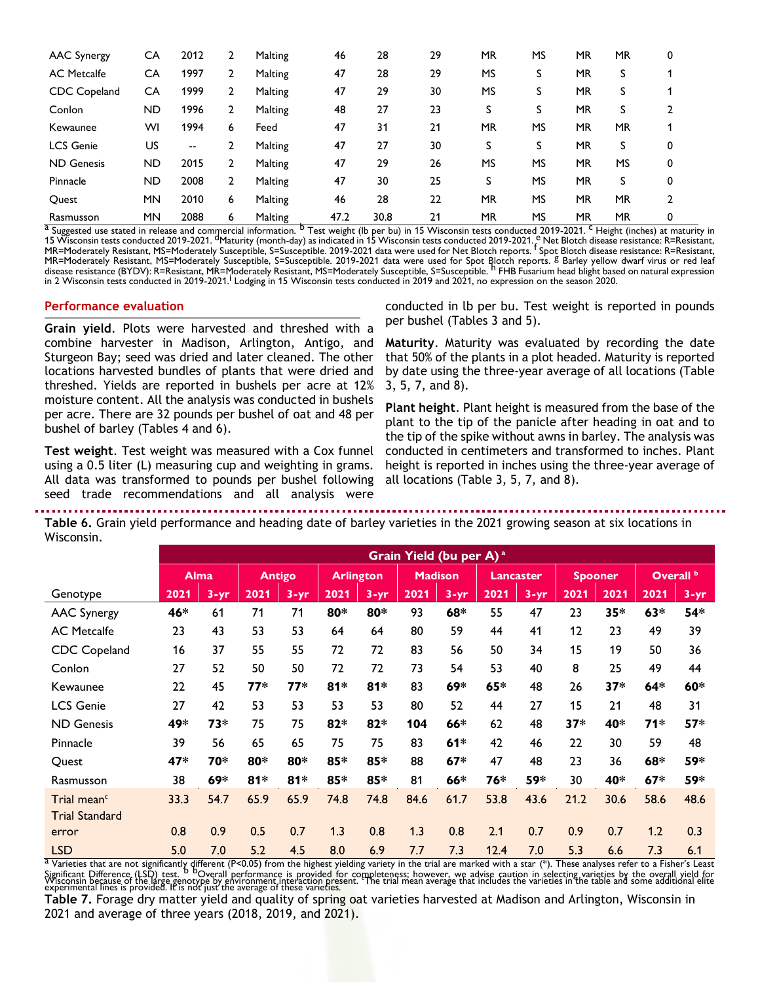| <b>AAC Synergy</b>  | CA        | 2012  | 2 | Malting | 46   | 28   | 29 | <b>MR</b> | <b>MS</b> | <b>MR</b> | <b>MR</b> | 0 |
|---------------------|-----------|-------|---|---------|------|------|----|-----------|-----------|-----------|-----------|---|
| <b>AC</b> Metcalfe  | CA        | 1997  | 2 | Malting | 47   | 28   | 29 | MS        | S         | MR        | S         |   |
| <b>CDC</b> Copeland | CA        | 1999  | 2 | Malting | 47   | 29   | 30 | <b>MS</b> | S         | <b>MR</b> | S         |   |
| Conlon              | ND        | 1996  | 2 | Malting | 48   | 27   | 23 | S         | S         | MR        | S         |   |
| Kewaunee            | WI        | 1994  | 6 | Feed    | 47   | 31   | 21 | <b>MR</b> | <b>MS</b> | <b>MR</b> | MR.       |   |
| <b>LCS Genie</b>    | US        | $- -$ |   | Malting | 47   | 27   | 30 | S         | S         | <b>MR</b> | S         | 0 |
| <b>ND Genesis</b>   | ND        | 2015  | 2 | Malting | 47   | 29   | 26 | <b>MS</b> | <b>MS</b> | <b>MR</b> | MS        | 0 |
| Pinnacle            | ND        | 2008  | 2 | Malting | 47   | 30   | 25 | S         | <b>MS</b> | MR        | S         | 0 |
| Quest               | <b>MN</b> | 2010  | 6 | Malting | 46   | 28   | 22 | <b>MR</b> | <b>MS</b> | <b>MR</b> | <b>MR</b> |   |
| Rasmusson           | <b>MN</b> | 2088  | 6 | Malting | 47.2 | 30.8 | 21 | <b>MR</b> | <b>MS</b> | <b>MR</b> | <b>MR</b> | 0 |

<sup>a</sup> Suggested use stated in release and commercial information. <sup>b</sup> Test weight (Ib per bu) in 15 Wisconsin tests conducted 2019-2021. <sup>C</sup> Height (inches) at maturity in 15 Wisconsin tests conducted 2019-2021. <sup>d</sup>Maturity (month-day) as indicated in 15 Wisconsin tests conducted 2019-2021. <sup>e</sup> Net Blotch disease resistance: R=Resistant, MR=Moderately Resistant, MS=Moderately Susceptible, S=Susceptible. 2019-2021 data were used for Net Blotch reports. <sup>F</sup> Spot Blotch disease resistance: R=Resistant, MS=Moderately Susceptible, S=Susceptible. 2019-2021 data MR=Moderately Resistant, MS=Moderately Susceptible, S=Susceptible. 2019-2021 data were used for Spot Blotch reports. <sup>8</sup> Barley yellow dwarf virus or red leaf<br>MR=Moderately Resistant, MS=Moderately Susceptible, S=Susceptib disease resistance (BYDV): R=Resistant, MR=Moderately Resistant, MS=Moderately Susceptible, S=Susceptible. <sup>h</sup> FHB Fusarium head blight based on natural expression In 2 Wisconsin tests conducted in 2019-2021. Lodging in 15 Wisconsin tests conducted in 2019 and 2021, no expression on the season 2020.

#### **Performance evaluation**

**Grain yield**. Plots were harvested and threshed with a combine harvester in Madison, Arlington, Antigo, and Sturgeon Bay; seed was dried and later cleaned. The other locations harvested bundles of plants that were dried and threshed. Yields are reported in bushels per acre at 12% moisture content. All the analysis was conducted in bushels per acre. There are 32 pounds per bushel of oat and 48 per bushel of barley (Tables 4 and 6).

**Test weight**. Test weight was measured with a Cox funnel using a 0.5 liter (L) measuring cup and weighting in grams. All data was transformed to pounds per bushel following seed trade recommendations and all analysis were

conducted in lb per bu. Test weight is reported in pounds per bushel (Tables 3 and 5).

**Maturity**. Maturity was evaluated by recording the date that 50% of the plants in a plot headed. Maturity is reported by date using the three-year average of all locations (Table 3, 5, 7, and 8).

**Plant height**. Plant height is measured from the base of the plant to the tip of the panicle after heading in oat and to the tip of the spike without awns in barley. The analysis was conducted in centimeters and transformed to inches. Plant height is reported in inches using the three-year average of all locations (Table 3, 5, 7, and 8).

**Table 6.** Grain yield performance and heading date of barley varieties in the 2021 growing season at six locations in Wisconsin.

|                         |      | Grain Yield (bu per A) <sup>a</sup> |       |               |       |                  |      |                |      |                  |      |                |       |                      |  |
|-------------------------|------|-------------------------------------|-------|---------------|-------|------------------|------|----------------|------|------------------|------|----------------|-------|----------------------|--|
|                         |      | <b>Alma</b>                         |       | <b>Antigo</b> |       | <b>Arlington</b> |      | <b>Madison</b> |      | <b>Lancaster</b> |      | <b>Spooner</b> |       | Overall <sup>b</sup> |  |
| Genotype                | 2021 | $3 - yr$                            | 2021  | $3 - yr$      | 2021  | $3 - yr$         | 2021 | $3 - yr$       | 2021 | $3 - yr$         | 2021 | 2021           | 2021  | $3 - yr$             |  |
| <b>AAC Synergy</b>      | 46*  | 61                                  | 71    | 71            | 80*   | 80*              | 93   | 68*            | 55   | 47               | 23   | $35*$          | 63*   | 54*                  |  |
| <b>AC Metcalfe</b>      | 23   | 43                                  | 53    | 53            | 64    | 64               | 80   | 59             | 44   | 41               | 12   | 23             | 49    | 39                   |  |
| CDC Copeland            | 16   | 37                                  | 55    | 55            | 72    | 72               | 83   | 56             | 50   | 34               | 15   | 19             | 50    | 36                   |  |
| Conlon                  | 27   | 52                                  | 50    | 50            | 72    | 72               | 73   | 54             | 53   | 40               | 8    | 25             | 49    | 44                   |  |
| Kewaunee                | 22   | 45                                  | 77*   | $77*$         | $81*$ | $81*$            | 83   | 69*            | 65*  | 48               | 26   | $37*$          | $64*$ | 60*                  |  |
| <b>LCS Genie</b>        | 27   | 42                                  | 53    | 53            | 53    | 53               | 80   | 52             | 44   | 27               | 15   | 21             | 48    | 31                   |  |
| <b>ND Genesis</b>       | 49*  | 73*                                 | 75    | 75            | 82*   | $82*$            | 104  | 66*            | 62   | 48               | 37*  | 40*            | 71*   | 57*                  |  |
| Pinnacle                | 39   | 56                                  | 65    | 65            | 75    | 75               | 83   | $61*$          | 42   | 46               | 22   | 30             | 59    | 48                   |  |
| Quest                   | 47*  | 70*                                 | 80*   | 80*           | 85*   | 85*              | 88   | $67*$          | 47   | 48               | 23   | 36             | 68*   | 59*                  |  |
| Rasmusson               | 38   | 69*                                 | $81*$ | $81*$         | 85*   | 85*              | 81   | 66*            | 76*  | 59*              | 30   | 40*            | $67*$ | 59*                  |  |
| Trial mean <sup>c</sup> | 33.3 | 54.7                                | 65.9  | 65.9          | 74.8  | 74.8             | 84.6 | 61.7           | 53.8 | 43.6             | 21.2 | 30.6           | 58.6  | 48.6                 |  |
| <b>Trial Standard</b>   |      |                                     |       |               |       |                  |      |                |      |                  |      |                |       |                      |  |
| error                   | 0.8  | 0.9                                 | 0.5   | 0.7           | 1.3   | 0.8              | 1.3  | 0.8            | 2.1  | 0.7              | 0.9  | 0.7            | 1.2   | 0.3                  |  |
| <b>LSD</b>              | 5.0  | 7.0                                 | 5.2   | 4.5           | 8.0   | 6.9              | 7.7  | 7.3            | 12.4 | 7.0              | 5.3  | 6.6            | 7.3   | 6.1                  |  |

 $^{\text{a}}$  Varieties that are not significantly different (P<0.05) from the highest yielding variety in the trial are marked with a star (\*). These analyses refer to a Fisher's Least Significant Difference (LSD) test. <sup>5</sup> DOverall performance is provided for completeness; however, we advise caution in selecting varieties by the overall yield for<br>Visconsin because of the large genotype by environment in

**Table 7.** Forage dry matter yield and quality of spring oat varieties harvested at Madison and Arlington, Wisconsin in 2021 and average of three years (2018, 2019, and 2021).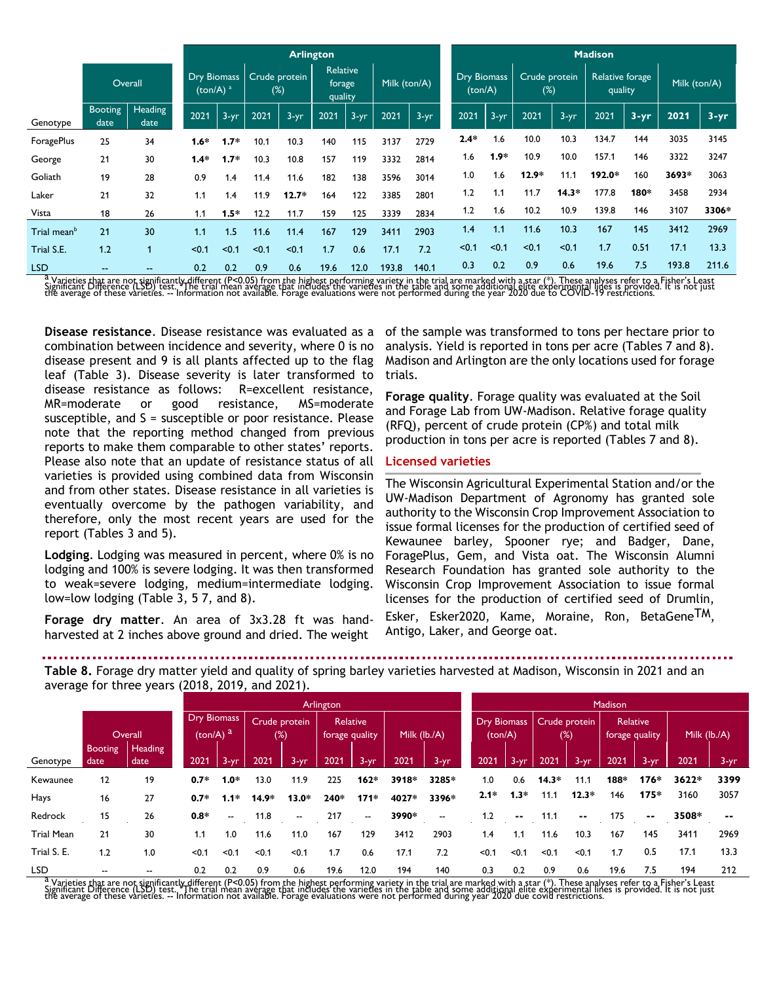|                         |                        |                             |        |                      |       |                               | <b>Arlington</b> |              |       |                               |        |                         |         |                            | <b>Madison</b> |              |       |          |
|-------------------------|------------------------|-----------------------------|--------|----------------------|-------|-------------------------------|------------------|--------------|-------|-------------------------------|--------|-------------------------|---------|----------------------------|----------------|--------------|-------|----------|
|                         | Overall                | Dry Biomass<br>(ton/A) $^a$ |        | Crude protein<br>(%) |       | Relative<br>forage<br>quality |                  | Milk (ton/A) |       | <b>Dry Biomass</b><br>(ton/A) |        | Crude protein<br>$(\%)$ |         | Relative forage<br>quality |                | Milk (ton/A) |       |          |
| Genotype                | <b>Booting</b><br>date | Heading<br>date             | 2021   | $3 - yr$             | 2021  | $3-yr$                        | 2021             | $3 - yr$     | 2021  | $3-yr$                        | 2021   | $3 - yr$                | 2021    | $3-yr$                     | 2021           | $3 - yr$     | 2021  | $3 - yr$ |
| ForagePlus              | 25                     | 34                          | $1.6*$ | $1.7*$               | 10.1  | 10.3                          | 140              | 115          | 3137  | 2729                          | $2.4*$ | 1.6                     | 10.0    | 10.3                       | 134.7          | 144          | 3035  | 3145     |
| George                  | 21                     | 30                          | $1.4*$ | $1.7*$               | 10.3  | 10.8                          | 157              | 119          | 3332  | 2814                          | 1.6    | $1.9*$                  | 10.9    | 10.0                       | 157.1          | 146          | 3322  | 3247     |
| Goliath                 | 19                     | 28                          | 0.9    | 1.4                  | 11.4  | 11.6                          | 182              | 138          | 3596  | 3014                          | 1.0    | 1.6                     | $12.9*$ | 11.1                       | 192.0*         | 160          | 3693* | 3063     |
| Laker                   | 21                     | 32                          | 1.1    | 1.4                  | 11.9  | $12.7*$                       | 164              | 122          | 3385  | 2801                          | 1.2    | 1.1                     | 11.7    | $14.3*$                    | 177.8          | 180*         | 3458  | 2934     |
| Vista                   | 18                     | 26                          | 1.1    | $1.5*$               | 12.2  | 11.7                          | 159              | 125          | 3339  | 2834                          | 1.2    | 1.6                     | 10.2    | 10.9                       | 139.8          | 146          | 3107  | 3306*    |
| Trial mean <sup>b</sup> | 21                     | 30                          | 1.1    | 1.5                  | 11.6  | 11.4                          | 167              | 129          | 3411  | 2903                          | 1.4    | 1.1                     | 11.6    | 10.3                       | 167            | 145          | 3412  | 2969     |
| Trial S.E.              | 1.2                    | 1                           | < 0.1  | < 0.1                | < 0.1 | < 0.1                         | 1.7              | 0.6          | 17.1  | 7.2                           | < 0.1  | < 0.1                   | < 0.1   | < 0.1                      | 1.7            | 0.51         | 17.1  | 13.3     |
| <b>LSD</b>              | $\qquad \qquad \cdots$ | --                          | 0.2    | 0.2                  | 0.9   | 0.6                           | 19.6             | 12.0         | 193.8 | 140.1                         | 0.3    | 0.2                     | 0.9     | 0.6                        | 19.6           | 7.5          | 193.8 | 211.6    |

<sup>a</sup> Varieties that are not significantly different (P<0.05) from the highest performing variety in the trial are marked with a star (\*). These analyses refer to a Fisher's Least<br>Significant Difference (LSD) test. The trial

**Disease resistance**. Disease resistance was evaluated as a combination between incidence and severity, where 0 is no disease present and 9 is all plants affected up to the flag leaf (Table 3). Disease severity is later transformed to disease resistance as follows: R=excellent resistance, MR=moderate or good resistance, MS=moderate susceptible, and S = susceptible or poor resistance. Please note that the reporting method changed from previous reports to make them comparable to other states' reports. Please also note that an update of resistance status of all varieties is provided using combined data from Wisconsin and from other states. Disease resistance in all varieties is eventually overcome by the pathogen variability, and therefore, only the most recent years are used for the report (Tables 3 and 5).

**Lodging**. Lodging was measured in percent, where 0% is no lodging and 100% is severe lodging. It was then transformed to weak=severe lodging, medium=intermediate lodging. low=low lodging (Table 3, 5 7, and 8).

**Forage dry matter**. An area of 3x3.28 ft was handharvested at 2 inches above ground and dried. The weight

of the sample was transformed to tons per hectare prior to analysis. Yield is reported in tons per acre (Tables 7 and 8). Madison and Arlington are the only locations used for forage trials.

**Forage quality**. Forage quality was evaluated at the Soil and Forage Lab from UW-Madison. Relative forage quality (RFQ), percent of crude protein (CP%) and total milk production in tons per acre is reported (Tables 7 and 8).

### **Licensed varieties**

The Wisconsin Agricultural Experimental Station and/or the UW-Madison Department of Agronomy has granted sole authority to the Wisconsin Crop Improvement Association to issue formal licenses for the production of certified seed of Kewaunee barley, Spooner rye; and Badger, Dane, ForagePlus, Gem, and Vista oat. The Wisconsin Alumni Research Foundation has granted sole authority to the Wisconsin Crop Improvement Association to issue formal licenses for the production of certified seed of Drumlin, Esker, Esker2020, Kame, Moraine, Ron, BetaGeneTM,

Antigo, Laker, and George oat.

**Table 8.** Forage dry matter yield and quality of spring barley varieties harvested at Madison, Wisconsin in 2021 and an average for three years (2018, 2019, and 2021).

|                   |                        | a. e. a general em e en jean e (= e . e ; = e . e ; a. . e = e = . ; . |                                              |          |         |                         |           |                                   |                |                          |                               |               |               |          |                |               |              |               |
|-------------------|------------------------|------------------------------------------------------------------------|----------------------------------------------|----------|---------|-------------------------|-----------|-----------------------------------|----------------|--------------------------|-------------------------------|---------------|---------------|----------|----------------|---------------|--------------|---------------|
|                   |                        |                                                                        |                                              |          |         |                         | Arlington |                                   |                |                          |                               |               |               |          | <b>Madison</b> |               |              |               |
|                   |                        | Overall                                                                | <b>Dry Biomass</b><br>$(ton/A)$ <sup>a</sup> |          |         | Crude protein<br>$(\%)$ |           | <b>Relative</b><br>forage quality | Milk $(Ib./A)$ |                          | <b>Dry Biomass</b><br>(ton/A) |               | Crude protein | $(\%)$   | forage quality | Relative      | Milk (lb./A) |               |
| Genotype          | <b>Booting</b><br>date | Heading<br>date                                                        | 2021                                         | $3 - yr$ | 2021    | $3 - yr$                | 2021      | $3 - yr$                          | 2021           | $3 - yr$                 | 2021                          | $3 - yr$      | 2021          | $3 - yr$ | 2021           | $3 - yr$      | 2021         | $3 - yr$      |
| Kewaunee          | 12                     | 19                                                                     | $0.7*$                                       | $1.0*$   | 13.0    | 11.9                    | 225       | 162*                              | 3918*          | 3285*                    | 1.0                           | 0.6           | $14.3*$       | 11.1     | 188*           | $176*$        | 3622*        | 3399          |
| Hays              | 16                     | 27                                                                     | $0.7*$                                       | $1.1*$   | $14.9*$ | $13.0*$                 | 240*      | $171*$                            | 4027*          | 3396*                    | $2.1*$                        | $1.3*$        | 11.1          | $12.3*$  | 146            | $175*$        | 3160         | 3057          |
| Redrock           | 15                     | 26                                                                     | $0.8*$                                       | --       | 11.8    | --                      | 217       | $\overline{\phantom{a}}$          | 3990*          | $\overline{\phantom{a}}$ | 1.2                           | $\sim$ $\sim$ | 11.1          | $- -$    | 175            | $\sim$ $\sim$ | 3508*        | $\sim$ $\sim$ |
| <b>Trial Mean</b> | 21                     | 30                                                                     | 1.1                                          | 1.0      | 11.6    | 11.0                    | 167       | 129                               | 3412           | 2903                     | 1.4                           | 1.1           | 11.6          | 10.3     | 167            | 145           | 3411         | 2969          |
| Trial S. E.       | 1.2                    | 1.0                                                                    | $0.1$                                        | < 0.1    | < 0.1   | < 0.1                   | 1.7       | 0.6                               | 17.1           | 7.2                      | < 0.1                         | < 0.1         | < 0.1         | < 0.1    | 1.7            | 0.5           | 17.1         | 13.3          |
| <b>LSD</b>        | $-$                    | --                                                                     | 0.2                                          | 0.2      | 0.9     | 0.6                     | 19.6      | 12.0                              | 194            | 140                      | 0.3                           | 0.2           | 0.9           | 0.6      | 19.6           | 7.5           | 194          | 212           |

<sup>a</sup> Varieties that are not significantly different (P<0.05) from the highest performing variety in the trial are marked with a star (\*). These analyses refer to a Fisher's Least<br>Significant Difference (LSD) test. The trial